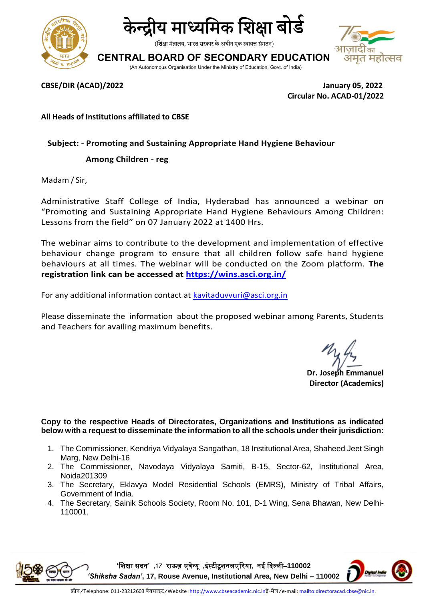



(शिक्षा मंत्रालय, भारत सरकार के अधीन एक स्वायत्त संगठन)

**CENTRAL BOARD OF SECONDARY EDUCATION**



(An Autonomous Organisation Under the Ministry of Education, Govt. of India)

**CBSE/DIR (ACAD)/2022 January 05, 2022 Circular No. ACAD-01/2022**

**All Heads of Institutions affiliated to CBSE**

## **Subject: - Promoting and Sustaining Appropriate Hand Hygiene Behaviour**

## **Among Children - reg**

Madam / Sir,

Administrative Staff College of India, Hyderabad has announced a webinar on "Promoting and Sustaining Appropriate Hand Hygiene Behaviours Among Children: Lessons from the field" on 07 January 2022 at 1400 Hrs.

The webinar aims to contribute to the development and implementation of effective behaviour change program to ensure that all children follow safe hand hygiene behaviours at all times. The webinar will be conducted on the Zoom platform. **The registration link can be accessed at<https://wins.asci.org.in/>**

For any additional information contact at [kavitaduvvuri@asci.org.in](mailto:kavitaduvvuri@asci.org.in)

Please disseminate the information about the proposed webinar among Parents, Students and Teachers for availing maximum benefits.

**Dr. Joseph Emmanuel Director (Academics)**

**Copy to the respective Heads of Directorates, Organizations and Institutions as indicated below with a request to disseminate the information to all the schools under their jurisdiction:** 

- 1. The Commissioner, Kendriya Vidyalaya Sangathan, 18 Institutional Area, Shaheed Jeet Singh Marg, New Delhi-16
- 2. The Commissioner, Navodaya Vidyalaya Samiti, B-15, Sector-62, Institutional Area, Noida201309
- 3. The Secretary, Eklavya Model Residential Schools (EMRS), Ministry of Tribal Affairs, Government of India.
- 4. The Secretary, Sainik Schools Society, Room No. 101, D-1 Wing, Sena Bhawan, New Delhi-110001.

**'**शिक्षा सदन**' ,17** राऊज़ एवेन्यू **,**इंस्टीटूिनलएररया**,** नई ददल्ली–**110002**  *'Shiksha Sadan'***, 17, Rouse Avenue, Institutional Area, New Delhi – 110002**